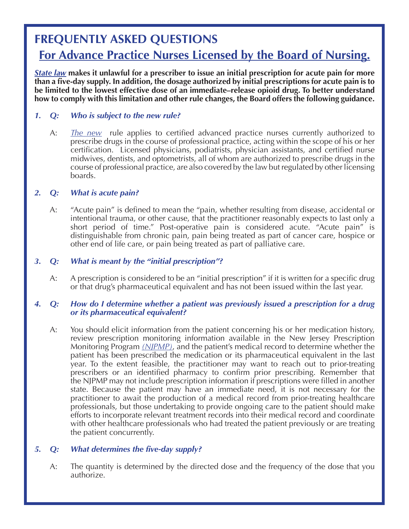# **FREQUENTLY ASKED QUESTIONS**

# **For Advance Practice Nurses Licensed by the Board of Nursing.**

*[State law](www.njleg.state.nj.us/2016/Bills/S0500/3_R1.HTM)* **makes it unlawful for a prescriber to issue an initial prescription for acute pain for more than a five-day supply. In addition, the dosage authorized by initial prescriptions for acute pain is to be limited to the lowest effective dose of an immediate–release opioid drug. To better understand how to comply with this limitation and other rule changes, the Board offers the following guidance.** 

# *1. Q: Who is subject to the new rule?*

A: *[The new](www.njconsumeraffairs.gov/prescribing-for-pain/Documents/Nursing-Rule-Language.pdf)* rule applies to certified advanced practice nurses currently authorized to prescribe drugs in the course of professional practice, acting within the scope of his or her certification. Licensed physicians, podiatrists, physician assistants, and certified nurse midwives, dentists, and optometrists, all of whom are authorized to prescribe drugs in the course of professional practice, are also covered by the law but regulated by other licensing boards.

# *2. Q: What is acute pain?*

A: "Acute pain" is defined to mean the "pain, whether resulting from disease, accidental or intentional trauma, or other cause, that the practitioner reasonably expects to last only a short period of time." Post-operative pain is considered acute. "Acute pain" is distinguishable from chronic pain, pain being treated as part of cancer care, hospice or other end of life care, or pain being treated as part of palliative care.

# *3. Q: What is meant by the "initial prescription"?*

A: A prescription is considered to be an "initial prescription" if it is written for a specific drug or that drug's pharmaceutical equivalent and has not been issued within the last year.

#### *4. Q: How do I determine whether a patient was previously issued a prescription for a drug or its pharmaceutical equivalent?*

A: You should elicit information from the patient concerning his or her medication history, review prescription monitoring information available in the New Jersey Prescription Monitoring Program *[\(NJPMP\)](www.njconsumeraffairs.gov/pmp)*, and the patient's medical record to determine whether the patient has been prescribed the medication or its pharmaceutical equivalent in the last year. To the extent feasible, the practitioner may want to reach out to prior-treating prescribers or an identified pharmacy to confirm prior prescribing. Remember that the NJPMP may not include prescription information if prescriptions were filled in another state. Because the patient may have an immediate need, it is not necessary for the practitioner to await the production of a medical record from prior-treating healthcare professionals, but those undertaking to provide ongoing care to the patient should make efforts to incorporate relevant treatment records into their medical record and coordinate with other healthcare professionals who had treated the patient previously or are treating the patient concurrently.

# *5. Q: What determines the five-day supply?*

A: The quantity is determined by the directed dose and the frequency of the dose that you authorize.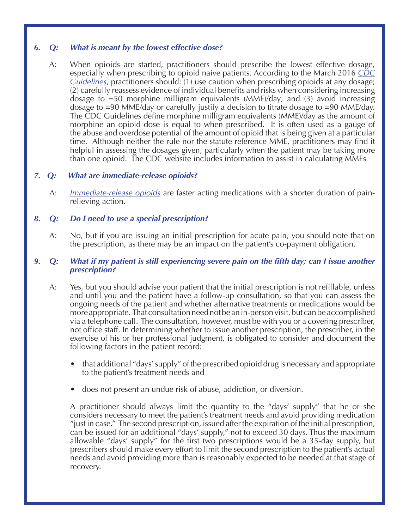# *6. Q: What is meant by the lowest effective dose?*

A: When opioids are started, practitioners should prescribe the lowest effective dosage, especially when prescribing to opioid naive patients. According to the March 2016 *CDC Guidelines*, [practitioners](www.cdc.gov/mmwr/volumes/65/rr/rr6501e1.htm) should: (1) use caution when prescribing opioids at any dosage; (2) carefully reassess evidence of individual benefits and risks when considering increasing dosage to =50 morphine milligram equivalents (MME)/day; and (3) avoid increasing dosage to =90 MME/day or carefully justify a decision to titrate dosage to =90 MME/day. The CDC Guidelines define morphine milligram equivalents (MME)/day as the amount of morphine an opioid dose is equal to when prescribed. It is often used as a gauge of the abuse and overdose potential of the amount of opioid that is being given at a particular time. Although neither the rule nor the statute reference MME, practitioners may find it helpful in assessing the dosages given, particularly when the patient may be taking more than one opioid. The CDC website includes information to assist in calculating MMEs

# *7. Q: What are immediate-release opioids?*

A: *[Immediate-release opioids](https://masshealthdruglist.ehs.state.ma.us/MHDL/pubtheradetail.do?id=8)* are faster acting medications with a shorter duration of pain- relieving action.

# *8. Q: Do I need to use a special prescription?*

A: No, but if you are issuing an initial prescription for acute pain, you should note that on the prescription, as there may be an impact on the patient's co-payment obligation.

#### *9. Q: What if my patient is still experiencing severe pain on the fifth day; can I issue another prescription?*

- A: Yes, but you should advise your patient that the initial prescription is not refillable, unless and until you and the patient have a follow-up consultation, so that you can assess the ongoing needs of the patient and whether alternative treatments or medications would be more appropriate. That consultation need not be an in-person visit, but can be accomplished via a telephone call. The consultation, however, must be with you or a covering prescriber, not office staff. In determining whether to issue another prescription, the prescriber, in the exercise of his or her professional judgment, is obligated to consider and document the following factors in the patient record:
	- that additional "days'supply" of the prescribed opioid drug is necessary and appropriate to the patient's treatment needs and
	- does not present an undue risk of abuse, addiction, or diversion.

 A practitioner should always limit the quantity to the "days' supply" that he or she considers necessary to meet the patient's treatment needs and avoid providing medication "just in case." The second prescription, issued after the expiration of the initial prescription, can be issued for an additional "days' supply," not to exceed 30 days. Thus the maximum allowable "days' supply" for the first two prescriptions would be a 35-day supply, but prescribers should make every effort to limit the second prescription to the patient's actual needs and avoid providing more than is reasonably expected to be needed at that stage of recovery.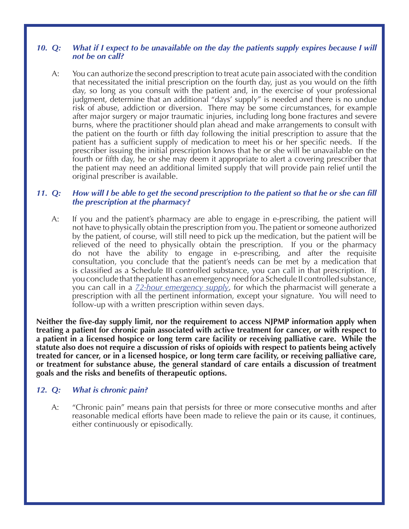#### *10. Q: What if I expect to be unavailable on the day the patients supply expires because I will not be on call?*

A: You can authorize the second prescription to treat acute pain associated with the condition that necessitated the initial prescription on the fourth day, just as you would on the fifth day, so long as you consult with the patient and, in the exercise of your professional judgment, determine that an additional "days' supply" is needed and there is no undue risk of abuse, addiction or diversion. There may be some circumstances, for example after major surgery or major traumatic injuries, including long bone fractures and severe burns, where the practitioner should plan ahead and make arrangements to consult with the patient on the fourth or fifth day following the initial prescription to assure that the patient has a sufficient supply of medication to meet his or her specific needs. If the prescriber issuing the initial prescription knows that he or she will be unavailable on the fourth or fifth day, he or she may deem it appropriate to alert a covering prescriber that the patient may need an additional limited supply that will provide pain relief until the original prescriber is available.

### 11. Q: How will I be able to get the second prescription to the patient so that he or she can fill  *the prescription at the pharmacy?*

A: If you and the patient's pharmacy are able to engage in e-prescribing, the patient will not have to physically obtain the prescription from you.The patient or someone authorized by the patient, of course, will still need to pick up the medication, but the patient will be relieved of the need to physically obtain the prescription. If you or the pharmacy do not have the ability to engage in e-prescribing, and after the requisite consultation, you conclude that the patient's needs can be met by a medication that is classified as a Schedule III controlled substance, you can call in that prescription. If you conclude that the patient has an emergency need for a Schedule II controlled substance, you can call in a *[72-hour emergency supply](www.njconsumeraffairs.gov/prescribing-for-pain/Documents/Emergency-Need-Prescriptions-72 hours.pdf)*, for which the pharmacist will generate a prescription with all the pertinent information, except your signature. You will need to follow-up with a written prescription within seven days.

**Neither the five-day supply limit, nor the requirement to access NJPMP information apply when treating a patient for chronic pain associated with active treatment for cancer, or with respect to a patient in a licensed hospice or long term care facility or receiving palliative care. While the statute also does not require a discussion of risks of opioids with respect to patients being actively treated for cancer, or in a licensed hospice, or long term care facility, or receiving palliative care, or treatment for substance abuse, the general standard of care entails a discussion of treatment goals and the risks and benefits of therapeutic options.**

# *12. Q: What is chronic pain?*

A: "Chronic pain" means pain that persists for three or more consecutive months and after reasonable medical efforts have been made to relieve the pain or its cause, it continues, either continuously or episodically.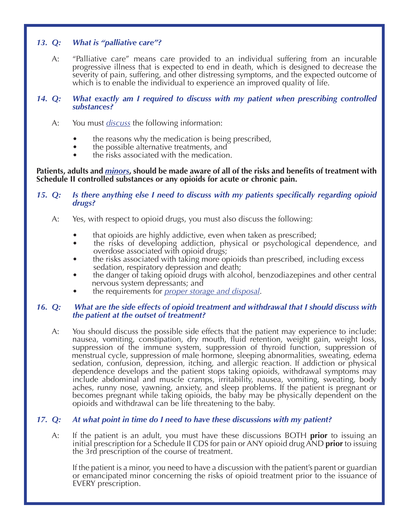# *13. Q: What is "palliative care"?*

- A: "Palliative care" means care provided to an individual suffering from an incurable progressive illness that is expected to end in death, which is designed to decrease the severity of pain, suffering, and other distressing symptoms, and the expected outcome of which is to enable the individual to experience an improved quality of life.
- *14. Q: What exactly am I required to discuss with my patient when prescribing controlled substances?*
	- A: You must *[discuss](www.njconsumeraffairs.gov/prescribing-for-pain/Documents/BME-Guidelines-What-Practitioners-Should-Discuss-With-Their-Patients.pdf)* the following information:
		- the reasons why the medication is being prescribed,
		- the possible alternative treatments, and
		- the risks associated with the medication.

**Patients, adults and** *[minors](www.njleg.state.nj.us/2016/Bills/PL17/8_.PDF)***, should be made aware of all of the risks and benefits of treatment with Schedule II controlled substances or any opioids for acute or chronic pain.**

#### *15. Q: Is there anything else I need to discuss with my patients specifically regarding opioid drugs?*

- A: Yes, with respect to opioid drugs, you must also discuss the following:
	- that opioids are highly addictive, even when taken as prescribed;
	- the risks of developing addiction, physical or psychological dependence, and overdose associated with opioid drugs;
	- the risks associated with taking more opioids than prescribed, including excess sedation, respiratory depression and death;
	- the danger of taking opioid drugs with alcohol, benzodiazepines and other central nervous system depressants; and
	- the requirements for *[proper storage and disposal](www.njconsumeraffairs.gov/meddrop/Pages/Safety.aspx)*.

#### *16. Q: What are the side effects of opioid treatment and withdrawal that I should discuss with the patient at the outset of treatment?*

A: You should discuss the possible side effects that the patient may experience to include: nausea, vomiting, constipation, dry mouth, fluid retention, weight gain, weight loss, suppression of the immune system, suppression of thyroid function, suppression of menstrual cycle, suppression of male hormone, sleeping abnormalities, sweating, edema sedation, confusion, depression, itching, and allergic reaction. If addiction or physical dependence develops and the patient stops taking opioids, withdrawal symptoms may include abdominal and muscle cramps, irritability, nausea, vomiting, sweating, body aches, runny nose, yawning, anxiety, and sleep problems. If the patient is pregnant or becomes pregnant while taking opioids, the baby may be physically dependent on the opioids and withdrawal can be life threatening to the baby.

# *17. Q: At what point in time do I need to have these discussions with my patient?*

A: If the patient is an adult, you must have these discussions BOTH **prior** to issuing an initial prescription for a Schedule II CDS for pain or ANY opioid drug AND **prior** to issuing the 3rd prescription of the course of treatment.

 If the patient is a minor, you need to have a discussion with the patient's parent or guardian or emancipated minor concerning the risks of opioid treatment prior to the issuance of EVERY prescription.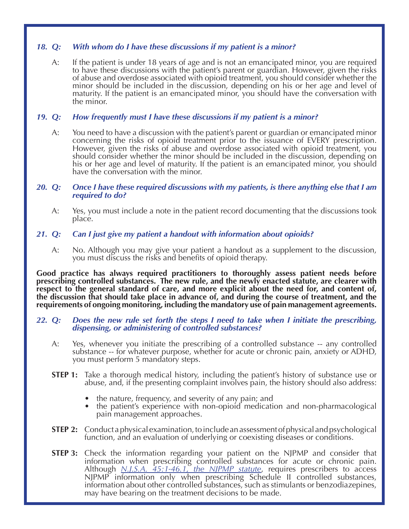# *18. Q: With whom do I have these discussions if my patient is a minor?*

A: If the patient is under 18 years of age and is not an emancipated minor, you are required to have these discussions with the patient's parent or guardian. However, given the risks of abuse and overdose associated with opioid treatment, you should consider whether the minor should be included in the discussion, depending on his or her age and level of maturity. If the patient is an emancipated minor, you should have the conversation with the minor.

# *19. Q: How frequently must I have these discussions if my patient is a minor?*

A: You need to have a discussion with the patient's parent or guardian or emancipated minor concerning the risks of opioid treatment prior to the issuance of EVERY prescription. However, given the risks of abuse and overdose associated with opioid treatment, you should consider whether the minor should be included in the discussion, depending on his or her age and level of maturity. If the patient is an emancipated minor, you should have the conversation with the minor.

# 20. Q: Once I have these required discussions with my patients, is there anything else that I am required to  $do$ ?<br>A: Yes, you must include a note in the patient record documenting that the discussions took

 place.

# *21. Q: Can I just give my patient a handout with information about opioids?*

A: No. Although you may give your patient a handout as a supplement to the discussion, you must discuss the risks and benefits of opioid therapy.

**Good practice has always required practitioners to thoroughly assess patient needs before prescribing controlled substances. The new rule, and the newly enacted statute, are clearer with respect to the general standard of care, and more explicit about the need for, and content of, the discussion that should take place in advance of, and during the course of treatment, and the requirements of ongoing monitoring, including the mandatory use of pain management agreements.**

# 22. Q: Does the new rule set forth the steps I need to take when I initiate the prescribing, dispensing, or administering of controlled substances?<br>A: Yes, whenever you initiate the prescribing of a controlled substance --

- substance -- for whatever purpose, whether for acute or chronic pain, anxiety or ADHD, you must perform 5 mandatory steps.
- **STEP 1:** Take a thorough medical history, including the patient's history of substance use or abuse, and, if the presenting complaint involves pain, the history should also address:
	- the nature, frequency, and severity of any pain; and
	- the patient's experience with non-opioid medication and non-pharmacological pain management approaches.
- **STEP 2:** Conduct a physical examination, to include an assessment of physical and psychological function, and an evaluation of underlying or coexisting diseases or conditions.
- **STEP 3:** Check the information regarding your patient on the NJPMP and consider that information when prescribing controlled substances for acute or chronic pain. <br> *Although <u>[N.J.S.A. 45:1-46.1, the NJPMP statute](www.njconsumeraffairs.gov/Statutes/NJ-Prescription-Monitoring-Program-Law.pdf)</u>, requires prescribers to access*  NJPMP information only when prescribing Schedule II controlled substances, information about other controlled substances, such as stimulants or benzodiazepines, may have bearing on the treatment decisions to be made.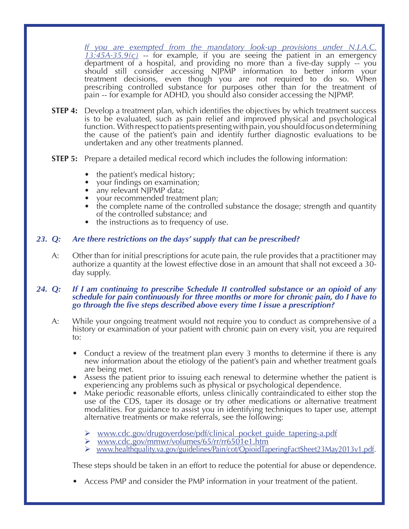*[If you are exempted from the mandatory look-up provisions under N.J.A.C.](www.njconsumeraffairs.gov/prescribing-for-pain/Documents/PMP-Mandatory-Look-up-Exemptions.pdf)*   $13:45A-35.9(c)$  -- for example, if you are seeing the patient in an emergency department of a hospital, and providing no more than a five-day supply -- you should still consider accessing NJPMP information to better inform your treatment decisions, even though you are not required to do so. When prescribing controlled substance for purposes other than for the treatment of pain -- for example for ADHD, you should also consider accessing the NJPMP.

- **STEP 4:** Develop a treatment plan, which identifies the objectives by which treatment success is to be evaluated, such as pain relief and improved physical and psychological function. With respect to patients presenting with pain, you should focus on determining the cause of the patient's pain and identify further diagnostic evaluations to be undertaken and any other treatments planned.
- **STEP 5:** Prepare a detailed medical record which includes the following information:
	- the patient's medical history;
	-
	-
	- your findings on examination;<br>
	any relevant NJPMP data;<br>
	your recommended treatment plan;
	- the complete name of the controlled substance the dosage; strength and quantity of the controlled substance; and
	- the instructions as to frequency of use.

# *23. Q: Are there restrictions on the days' supply that can be prescribed?*

A: Other than for initial prescriptions for acute pain, the rule provides that a practitioner may authorize a quantity at the lowest effective dose in an amount that shall not exceed a 30- day supply.

#### *24. Q: If I am continuing to prescribe Schedule II controlled substance or an opioid of any schedule for pain continuously for three months or more for chronic pain, do I have to go through the five steps described above every time I issue a prescription?*

- A: While your ongoing treatment would not require you to conduct as comprehensive of a history or examination of your patient with chronic pain on every visit, you are required to:
	- Conduct a review of the treatment plan every 3 months to determine if there is any new information about the etiology of the patient's pain and whether treatment goals are being met.
	- Assess the patient prior to issuing each renewal to determine whether the patient is experiencing any problems such as physical or psychological dependence.
	- Make periodic reasonable efforts, unless clinically contraindicated to either stop the use of the CDS, taper its dosage or try other medications or alternative treatment modalities. For guidance to assist you in identifying techniques to taper use, attempt alternative treatments or make referrals, see the following:
		- www.cdc.gov/drugoverdose/pdf/clinical\_pocket\_guide\_tapering-a.pdf
		- Ø www.cdc.gov/mmwr/volumes/65/rr/rr6501e1.htm
		- Ø www.healthquality.va.gov/guidelines/Pain/cot/OpioidTaperingFactSheet23May2013v1.pdf.

 These steps should be taken in an effort to reduce the potential for abuse or dependence.

Access PMP and consider the PMP information in your treatment of the patient.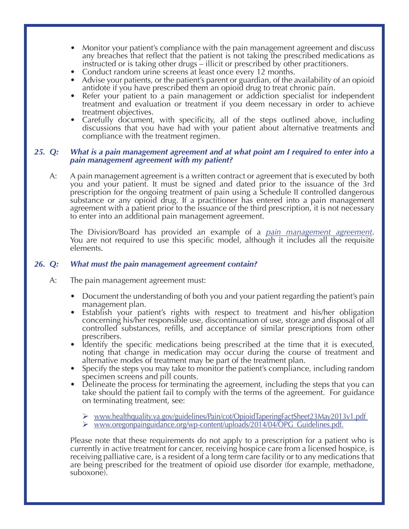- Monitor your patient's compliance with the pain management agreement and discuss any breaches that reflect that the patient is not taking the prescribed medications as instructed or is taking other drugs – illicit or prescribed by other practitioners.
- Conduct random urine screens at least once every 12 months.
- Advise your patients, or the patient's parent or guardian, of the availability of an opioid antidote if you have prescribed them an opioid drug to treat chronic pain.
- Refer your patient to a pain management or addiction specialist for independent treatment and evaluation or treatment if you deem necessary in order to achieve treatment objectives.
- Carefully document, with specificity, all of the steps outlined above, including discussions that you have had with your patient about alternative treatments and compliance with the treatment regimen.

#### *25. Q: What is a pain management agreement and at what point am I required to enter into a pain management agreement with my patient?*

 A: A pain management agreement is a written contract or agreement that is executed by both you and your patient. It must be signed and dated prior to the issuance of the 3rd prescription for the ongoing treatment of pain using a Schedule II controlled dangerous substance or any opioid drug. If a practitioner has entered into a pain management agreement with a patient prior to the issuance of the third prescription, it is not necessary to enter into an additional pain management agreement.

 The Division/Board has provided an example of a *[pain management agreement](www.njconsumeraffairs.gov/prescribing-for-pain/Documents/Pain-Treatment-with-Opioid-Medications-Patient-Agreement.pdf)*. You are not required to use this specific model, although it includes all the requisite elements. 

### *26. Q: What must the pain management agreement contain?*

A: The pain management agreement must:

- Document the understanding of both you and your patient regarding the patient's pain management plan.
- Establish your patient's rights with respect to treatment and his/her obligation concerning his/her responsible use, discontinuation of use, storage and disposal of all controlled substances, refills, and acceptance of similar prescriptions from other prescribers.
- ldentify the specific medications being prescribed at the time that it is executed, noting that change in medication may occur during the course of treatment and alternative modes of treatment may be part of the treatment plan.
- Specify the steps you may take to monitor the patient's compliance, including random specimen screens and pill counts.
- Delineate the process for terminating the agreement, including the steps that you can take should the patient fail to comply with the terms of the agreement. For guidance on terminating treatment, see:
	- Ø www.healthquality.va.gov/guidelines/Pain/cot/OpioidTaperingFactSheet23May2013v1.pdf
	- $\triangleright$  www.oregonpainguidance.org/wp-content/uploads/2014/04/OPG Guidelines.pdf.

 Please note that these requirements do not apply to a prescription for a patient who is currently in active treatment for cancer, receiving hospice care from a licensed hospice, is receiving palliative care, is a resident of a long term care facility or to any medications that are being prescribed for the treatment of opioid use disorder (for example, methadone, suboxone).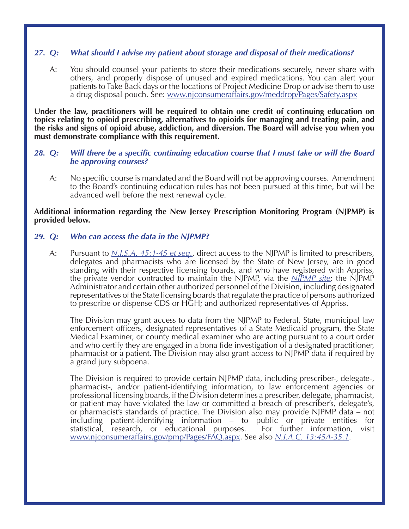# *27. Q: What should I advise my patient about storage and disposal of their medications?*

A: You should counsel your patients to store their medications securely, never share with others, and properly dispose of unused and expired medications. You can alert your patients to Take Back days or the locations of Project Medicine Drop or advise them to use a drug disposal pouch. See: www.njconsumeraffairs.gov/meddrop/Pages/Safety.aspx

**Under the law, practitioners will be required to obtain one credit of continuing education on topics relating to opioid prescribing, alternatives to opioids for managing and treating pain, and the risks and signs of opioid abuse, addiction, and diversion. The Board will advise you when you must demonstrate compliance with this requirement.**

#### *28. Q: Will there be a specific continuing education course that I must take or will the Board be approving courses?*

A: No specific course is mandated and the Board will not be approving courses. Amendment to the Board's continuing education rules has not been pursued at this time, but will be advanced well before the next renewal cycle.

#### **Additional information regarding the New Jersey Prescription Monitoring Program (NJPMP) is provided below.**

#### *29. Q: Who can access the data in the NJPMP?*

A: Pursuant to <u>[N.J.S.A. 45:1-45 et seq.](www.njconsumeraffairs.gov/Statutes/NJ-Prescription-Monitoring-Program-Law.pdf)</u>, direct access to the NJPMP is limited to prescribers, delegates and pharmacists who are licensed by the State of New Jersey, are in good standing with their respective licensing boards, and who have registered with Appriss, the private vendor contracted to maintain the NJPMP, via the *[NJPMP site](www.njconsumeraffairs.gov/pmp)*; the NJPMP Administrator and certain other authorized personnel of the Division, including designated representatives of the State licensing boards that regulate the practice of persons authorized to prescribe or dispense CDS or HGH; and authorized representatives of Appriss.

 The Division may grant access to data from the NJPMP to Federal, State, municipal law enforcement officers, designated representatives of a State Medicaid program, the State Medical Examiner, or county medical examiner who are acting pursuant to a court order and who certify they are engaged in a bona fide investigation of a designated practitioner, pharmacist or a patient. The Division may also grant access to NJPMP data if required by a grand jury subpoena.

 The Division is required to provide certain NJPMP data, including prescriber-, delegate-, pharmacist-, and/or patient-identifying information, to law enforcement agencies or professional licensing boards, if the Division determines a prescriber, delegate, pharmacist, or patient may have violated the law or committed a breach of prescriber's, delegate's, or pharmacist's standards of practice. The Division also may provide NJPMP data – not including patient-identifying information – to public or private entities for statistical, research, or educational purposes. For further information, visit www.njconsumeraffairs.gov/pmp/Pages/FAQ.aspx. See also *[N.J.A.C. 13:45A-35.1](www.njconsumeraffairs.gov/regulations/Ch-45A-Subch-35-Prescription-Monitoring-Program.pdf)*.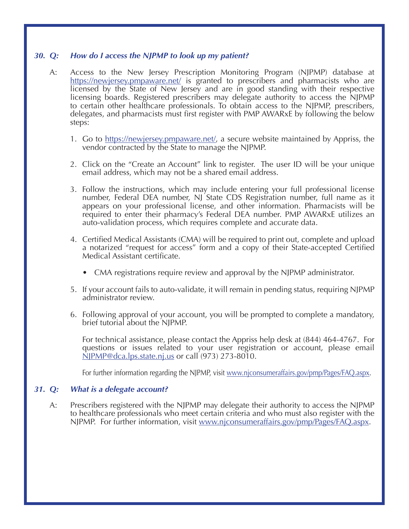#### *30. Q: How do I access the NJPMP to look up my patient?*

- A: Access to the New Jersey Prescription Monitoring Program (NJPMP) database at https://newjersey.pmpaware.net/ is granted to prescribers and pharmacists who are licensed by the State of New Jersey and are in good standing with their respective licensing boards. Registered prescribers may delegate authority to access the NJPMP to certain other healthcare professionals. To obtain access to the NJPMP, prescribers, delegates, and pharmacists must first register with PMP AWARxE by following the below steps:
	- 1. Go to https://newjersey.pmpaware.net/, a secure website maintained by Appriss, the vendor contracted by the State to manage the NJPMP.
	- 2. Click on the "Create an Account" link to register. The user ID will be your unique email address, which may not be a shared email address.
	- 3. Follow the instructions, which may include entering your full professional license number, Federal DEA number, NJ State CDS Registration number, full name as it appears on your professional license, and other information. Pharmacists will be required to enter their pharmacy's Federal DEA number. PMP AWARxE utilizes an auto-validation process, which requires complete and accurate data.
	- 4. Certified Medical Assistants (CMA) will be required to print out, complete and upload a notarized "request for access" form and a copy of their State-accepted Certified Medical Assistant certificate.
		- CMA registrations require review and approval by the NJPMP administrator.
	- 5. If your account fails to auto-validate, it will remain in pending status, requiring NJPMP administrator review.
	- 6. Following approval of your account, you will be prompted to complete a mandatory, brief tutorial about the NJPMP.

 For technical assistance, please contact the Appriss help desk at (844) 464-4767. For questions or issues related to your user registration or account, please email NJPMP@dca.lps.state.nj.us or call (973) 273-8010.

 For further information regarding the NJPMP, visit www.njconsumeraffairs.gov/pmp/Pages/FAQ.aspx.

#### *31. Q: What is a delegate account?*

A: Prescribers registered with the NJPMP may delegate their authority to access the NJPMP to healthcare professionals who meet certain criteria and who must also register with the NJPMP. For further information, visit www.njconsumeraffairs.gov/pmp/Pages/FAQ.aspx.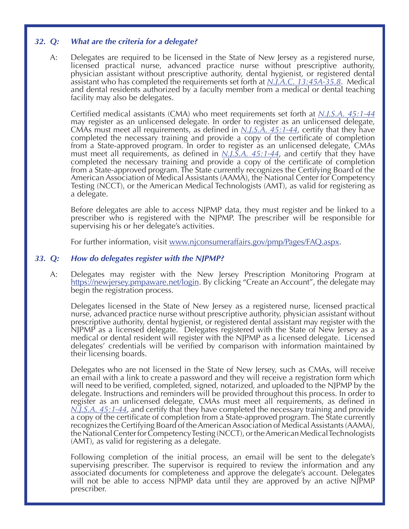# *32. Q: What are the criteria for a delegate?*

A: Delegates are required to be licensed in the State of New Jersey as a registered nurse,<br>licensed practical nurse, advanced practice nurse without prescriptive authority, physician assistant without prescriptive authority, dental hygienist, or registered dental assistant who has completed the requirements set forth at *[N.J.A.C. 13:45A-35.8](www.njconsumeraffairs.gov/regulations/Ch-45A-Subch-35-Prescription-Monitoring-Program.pdf)*. Medical and dental residents authorized by a faculty member from a medical or dental teaching facility may also be delegates.

 Certified medical assistants (CMA) who meet requirements set forth at *[N.J.S.A. 45:1-44](www.njconsumeraffairs.gov/Statutes/NJ-Prescription-Monitoring-Program-Law.pdf)* may register as an unlicensed delegate. In order to register as an unlicensed delegate, CMAs must meet all requirements, as defined in *[N.J.S.A. 45:1-44](www.njconsumeraffairs.gov/Statutes/NJ-Prescription-Monitoring-Program-Law.pdf)*, certify that they have completed the necessary training and provide a copy of the certificate of completion from a State-approved program. In order to register as an unlicensed delegate, CMAs must meet all requirements, as defined in *[N.J.S.A. 45:1-44](www.njconsumeraffairs.gov/Statutes/NJ-Prescription-Monitoring-Program-Law.pdf)*, and certify that they have completed the necessary training and provide a  $\overline{copy}$  of the certificate of completion from a State-approved program. The State currently recognizes the Certifying Board of the American Association of Medical Assistants (AAMA), the National Center for Competency Testing (NCCT), or the American Medical Technologists (AMT), as valid for registering as a delegate.

 Before delegates are able to access NJPMP data, they must register and be linked to a prescriber who is registered with the NJPMP. The prescriber will be responsible for supervising his or her delegate's activities.

 For further information, visit www.njconsumeraffairs.gov/pmp/Pages/FAQ.aspx.

#### *33. Q: How do delegates register with the NJPMP?*

A: Delegates may register with the New Jersey Prescription Monitoring Program at https://newjersey.pmpaware.net/login. By clicking "Create an Account", the delegate may begin the registration process.

 Delegates licensed in the State of New Jersey as a registered nurse, licensed practical nurse, advanced practice nurse without prescriptive authority, physician assistant without prescriptive authority, dental hygienist, or registered dental assistant may register with the NJPMP as a licensed delegate. Delegates registered with the State of New Jersey as a medical or dental resident will register with the NJPMP as a licensed delegate. Licensed delegates' credentials will be verified by comparison with information maintained by their licensing boards.

 Delegates who are not licensed in the State of New Jersey, such as CMAs, will receive an email with a link to create a password and they will receive a registration form which will need to be verified, completed, signed, notarized, and uploaded to the NJPMP by the delegate. Instructions and reminders will be provided throughout this process. In order to register as an unlicensed delegate, CMAs must meet all requirements, as defined in <br><u>*[N.J.S.A. 45:1-44](www.njconsumeraffairs.gov/Statutes/NJ-Prescription-Monitoring-Program-Law.pdf)</u>*, and certify that they have completed the necessary training and provide</u> a copy of the certificate of completion from a State-approved program. The State currently recognizes the Certifying Board of the American Association of Medical Assistants (AAMA), the National Center for Competency Testing (NCCT), or the American Medical Technologists (AMT), as valid for registering as a delegate.

 Following completion of the initial process, an email will be sent to the delegate's supervising prescriber. The supervisor is required to review the information and any<br>associated documents for completeness and approve the delegate's account. Delegates<br>will not be able to access NJPMP data until they are prescriber.